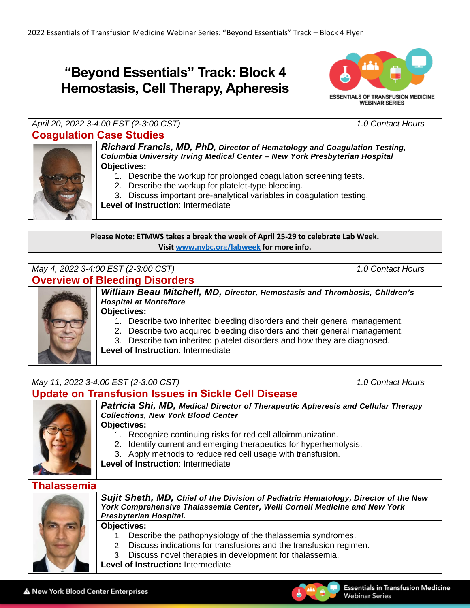# **"Beyond Essentials" Track: Block 4 Hemostasis, Cell Therapy, Apheresis**



*April 20, 2022 3-4:00 EST (2-3:00 CST) 1.0 Contact Hours* **Coagulation Case Studies**



*Richard Francis, MD, PhD, Director of Hematology and Coagulation Testing, Columbia University Irving Medical Center – New York Presbyterian Hospital* **Objectives:**

- 1. Describe the workup for prolonged coagulation screening tests.
	- 2. Describe the workup for platelet-type bleeding.
- 3. Discuss important pre-analytical variables in coagulation testing.

**Level of Instruction**: Intermediate

**Please Note: ETMWS takes a break the week of April 25-29 to celebrate Lab Week. Visit [www.nybc.org/labweek](http://www.nybc.org/labweek) for more info.**



- 
- 2. Describe two acquired bleeding disorders and their general management.
- 3. Describe two inherited platelet disorders and how they are diagnosed.

**Level of Instruction**: Intermediate

*May 11, 2022 3-4:00 EST (2-3:00 CST) 1.0 Contact Hours*

### **Update on Transfusion Issues in Sickle Cell Disease**



*Patricia Shi, MD, Medical Director of Therapeutic Apheresis and Cellular Therapy Collections, New York Blood Center*

#### **Objectives:**

- 1. Recognize continuing risks for red cell alloimmunization.
- 2. Identify current and emerging therapeutics for hyperhemolysis.
- 3. Apply methods to reduce red cell usage with transfusion.

**Level of Instruction**: Intermediate

### **Thalassemia**



*Sujit Sheth, MD, Chief of the Division of Pediatric Hematology, Director of the New York Comprehensive Thalassemia Center, Weill Cornell Medicine and New York Presbyterian Hospital.*

#### **Objectives:**

- 1. Describe the pathophysiology of the thalassemia syndromes.
- 2. Discuss indications for transfusions and the transfusion regimen.
- 3. Discuss novel therapies in development for thalassemia.
- **Level of Instruction:** Intermediate